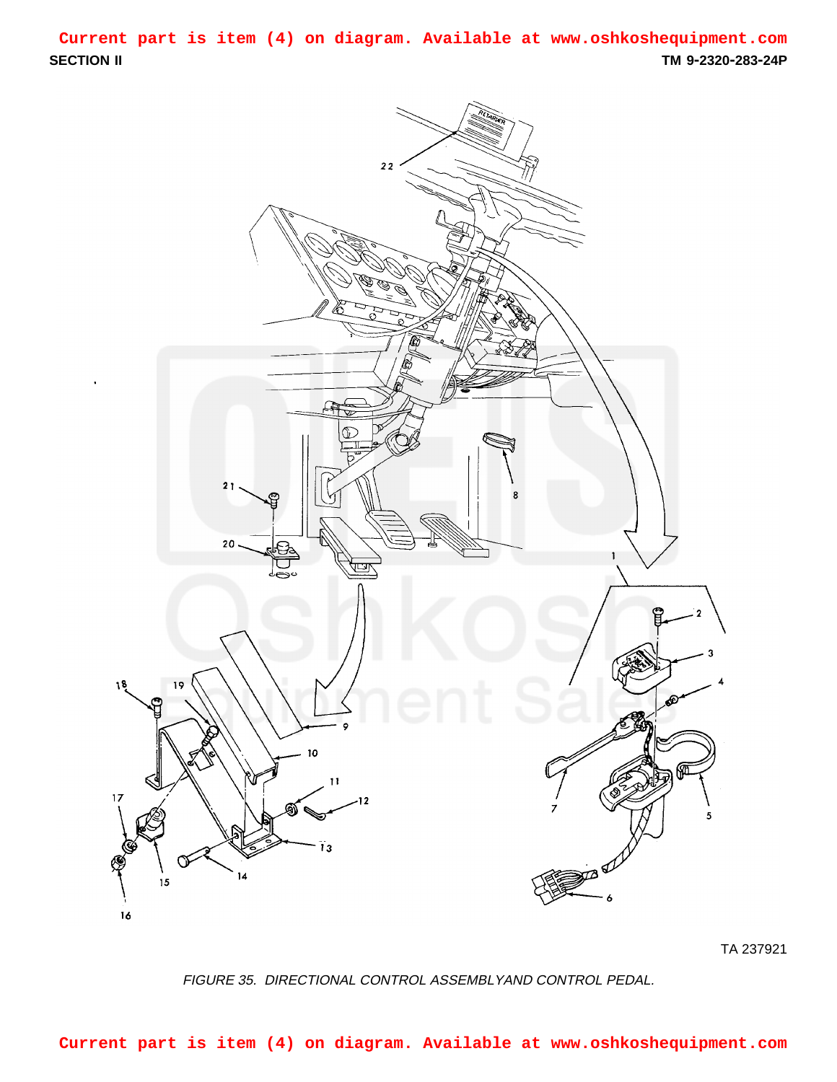<span id="page-0-0"></span>**SECTION II TM 9-2320-283-24P Current part is item (4) on diagram. Available at www.oshkoshequipment.com**



TA 237921

FIGURE 35. DIRECTIONAL CONTROL ASSEMBLYAND CONTROL PEDAL.

**Current part is item (4) on diagram. Available at www.oshkoshequipment.com**